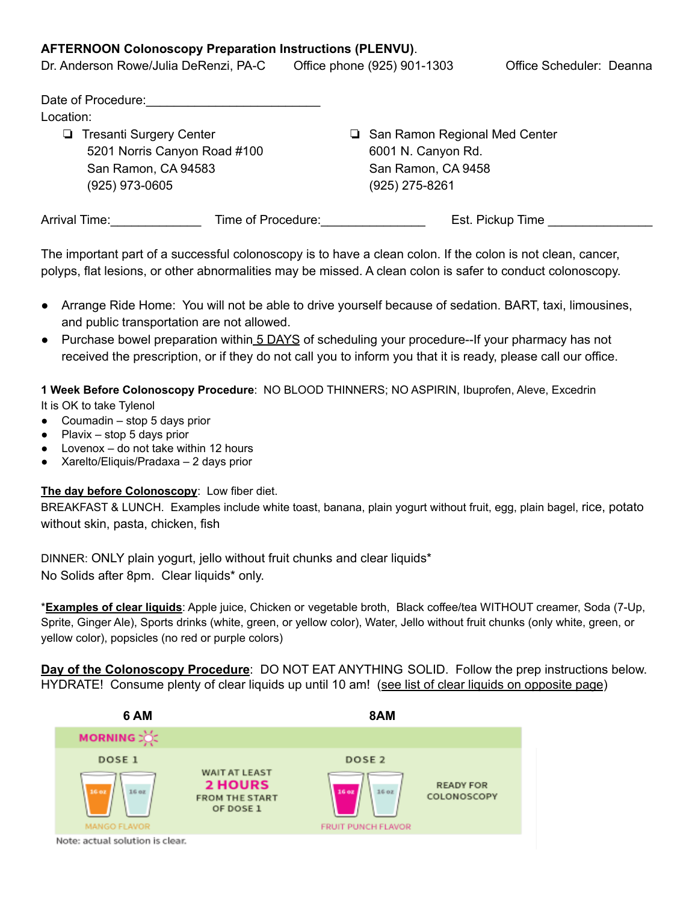## **AFTERNOON Colonoscopy Preparation Instructions (PLENVU)**.

| Dr. Anderson Rowe/Julia DeRenzi, PA-C | Office phone (925) 901-1303     | Office Scheduler: Deanna |
|---------------------------------------|---------------------------------|--------------------------|
| Date of Procedure:                    |                                 |                          |
| Location:                             |                                 |                          |
| Tresanti Surgery Center<br>u.         | □ San Ramon Regional Med Center |                          |
|                                       |                                 |                          |

- 5201 Norris Canyon Road #100 San Ramon, CA 94583 (925) 973-0605
- 6001 N. Canyon Rd. San Ramon, CA 9458 (925) 275-8261

| <b>Arrival Time:</b> | Time of Procedure: | Est. Pickup Time |
|----------------------|--------------------|------------------|
|                      |                    |                  |

The important part of a successful colonoscopy is to have a clean colon. If the colon is not clean, cancer, polyps, flat lesions, or other abnormalities may be missed. A clean colon is safer to conduct colonoscopy.

- Arrange Ride Home: You will not be able to drive yourself because of sedation. BART, taxi, limousines, and public transportation are not allowed.
- Purchase bowel preparation within 5 DAYS of scheduling your procedure--If your pharmacy has not received the prescription, or if they do not call you to inform you that it is ready, please call our office.

**1 Week Before Colonoscopy Procedure**: NO BLOOD THINNERS; NO ASPIRIN, Ibuprofen, Aleve, Excedrin

It is OK to take Tylenol

- Coumadin stop 5 days prior
- Plavix stop 5 days prior
- Lovenox  $-$  do not take within 12 hours
- Xarelto/Eliquis/Pradaxa 2 days prior

**The day before Colonoscopy**: Low fiber diet.

BREAKFAST & LUNCH. Examples include white toast, banana, plain yogurt without fruit, egg, plain bagel, rice, potato without skin, pasta, chicken, fish

DINNER: ONLY plain yogurt, jello without fruit chunks and clear liquids\* No Solids after 8pm. Clear liquids\* only.

\***Examples of clear liquids**: Apple juice, Chicken or vegetable broth, Black coffee/tea WITHOUT creamer, Soda (7-Up, Sprite, Ginger Ale), Sports drinks (white, green, or yellow color), Water, Jello without fruit chunks (only white, green, or yellow color), popsicles (no red or purple colors)

**Day of the Colonoscopy Procedure**: DO NOT EAT ANYTHING SOLID. Follow the prep instructions below. HYDRATE! Consume plenty of clear liquids up until 10 am! (see list of clear liquids on opposite page)